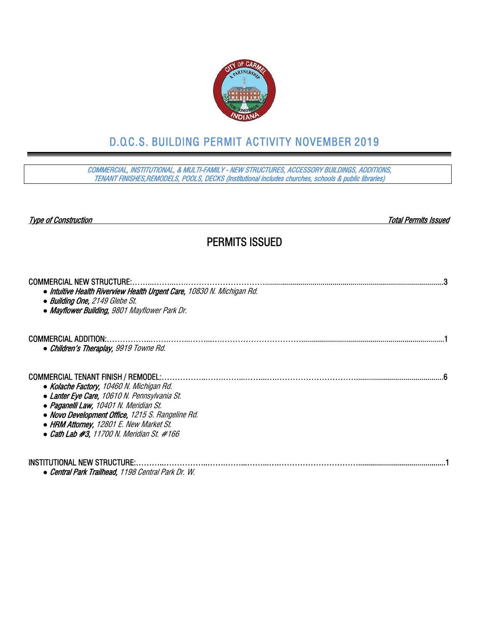

# D.O.C.S. BUILDING PERMIT ACTIVITY NOVEMBER 2019

COMMERCIAL, INSTITUTIONAL, & MULTI-FAMILY - NEW STRUCTURES, ACCESSORY BUILDINGS, ADDITIONS, TENANT FINISHES,REMODELS, POOLS, DECKS (Institutional includes churches, schools & public libraries)

Type of Construction Total Permits Issued

#### PERMITS ISSUED

| <b>COMMERCIAL NEW STRUCTURE:</b><br>• Intuitive Health Riverview Health Urgent Care, 10830 N. Michigan Rd.<br>• Building One, 2149 Glebe St.<br>• Mayflower Building, 9801 Mayflower Park Dr.                                                                                                                                      |
|------------------------------------------------------------------------------------------------------------------------------------------------------------------------------------------------------------------------------------------------------------------------------------------------------------------------------------|
| <b>COMMERCIAL ADDITION:</b><br>• Children's Theraplay, 9919 Towne Rd.                                                                                                                                                                                                                                                              |
| <b>COMMERCIAL TENANT FINISH / REMODEL:.</b><br>• Kolache Factory, 10460 N. Michigan Rd.<br>• Lanter Eye Care, 10610 N. Pennsylvania St.<br>• Paganelli Law, 10401 N. Meridian St.<br>• Novo Development Office, 1215 S. Rangeline Rd.<br>• HRM Attorney, 12801 E. New Market St.<br>• Cath Lab $#3$ , 11700 N. Meridian St. $#166$ |
| INSTITUTIONAL NEW STRUCTURE:.<br>• Central Park Trailhead, 1198 Central Park Dr. W.                                                                                                                                                                                                                                                |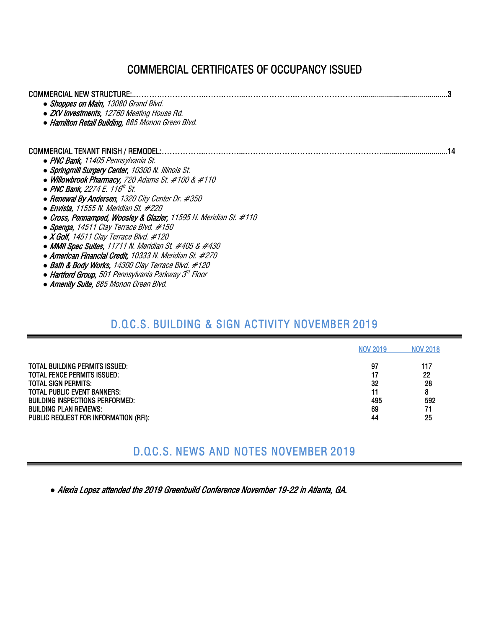## COMMERCIAL CERTIFICATES OF OCCUPANCY ISSUED

| <b>COMMERCIAL NEW STRUCTURE:</b><br>• Shoppes on Main, 13080 Grand Blvd.<br>• ZXV Investments, 12760 Meeting House Rd.<br>• Hamilton Retail Building, 885 Monon Green Blvd.                                                                                                                                                                                                                                                                                                                                                                                                 |
|-----------------------------------------------------------------------------------------------------------------------------------------------------------------------------------------------------------------------------------------------------------------------------------------------------------------------------------------------------------------------------------------------------------------------------------------------------------------------------------------------------------------------------------------------------------------------------|
| COMMERCIAL TENANT FINISH / REMODEL:<br>• PNC Bank, 11405 Pennsylvania St.<br>• Springmill Surgery Center, 10300 N. Illinois St.<br>• Willowbrook Pharmacy, 720 Adams St. #100 & #110<br>• PNC Bank. 2274 E. 116 <sup>th</sup> St.<br>• Renewal By Andersen, 1320 City Center Dr. #350<br>$\bullet$ Envista, 11555 N. Meridian St. #220<br>• Cross, Pennamped, Woosley & Glazier, 11595 N. Meridian St. #110<br>• Spenga, 14511 Clay Terrace Blvd. $#150$<br>$\bullet$ <i>X Golf, 14511 Clay Terrace Blvd. #120</i><br>• MMII Spec Suites, 11711 N. Meridian St. #405 & #430 |
| • American Financial Credit, 10333 N. Meridian St. #270<br>• Bath & Body Works, 14300 Clay Terrace Blvd. #120<br>• Hartford Group, 501 Pennsylvania Parkway 3 <sup>d</sup> Floor                                                                                                                                                                                                                                                                                                                                                                                            |

#### *●* Amenity Suite, 885 Monon Green Blvd.

### D.O.C.S. BUILDING & SIGN ACTIVITY NOVEMBER 2019

| TOTAL BUILDING PERMITS ISSUED:<br>97<br>117<br>22<br>TOTAL FENCE PERMITS ISSUED:<br>17<br>28<br>32<br>TOTAL SIGN PERMITS: I              |                             | <b>NOV 2019</b> | <b>NOV 2018</b> |
|------------------------------------------------------------------------------------------------------------------------------------------|-----------------------------|-----------------|-----------------|
| 592<br>Building inspections performed:<br>495<br>69<br>71<br>BUILDING PLAN REVIEWS:<br>25<br>PUBLIC REQUEST FOR INFORMATION (RFI):<br>44 | TOTAL PUBLIC EVENT BANNERS: | 11              | 8               |

### D.O.C.S. NEWS AND NOTES NOVEMBER 2019

*●* Alexia Lopez attended the 2019 Greenbuild Conference November 19-22 in Atlanta, GA.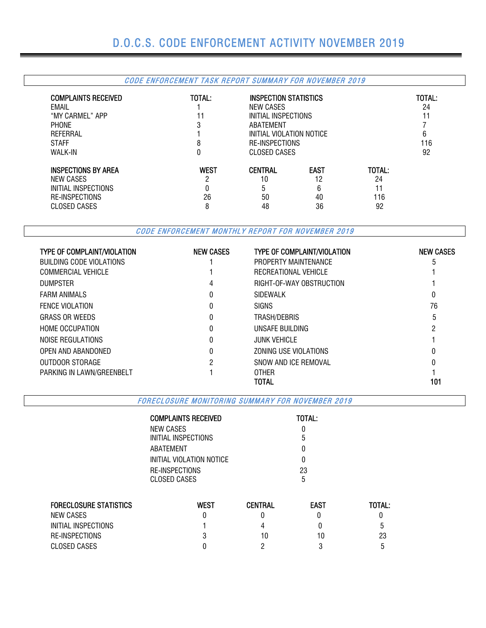#### CODE ENFORCEMENT TASK REPORT SUMMARY FOR NOVEMBER 2019

| <b>COMPLAINTS RECEIVED</b><br><b>EMAIL</b><br>"MY CARMEL" APP<br><b>PHONE</b><br>REFERRAL<br><b>STAFF</b><br>WALK-IN | TOTAL:<br>11<br>3<br>8<br>0 | <b>INSPECTION STATISTICS</b><br>NEW CASES<br>INITIAL INSPECTIONS<br>ABATEMENT<br>INITIAL VIOLATION NOTICE<br><b>RE-INSPECTIONS</b><br><b>CLOSED CASES</b> |                                    |                           | TOTAL:<br>24<br>6<br>116<br>92 |
|----------------------------------------------------------------------------------------------------------------------|-----------------------------|-----------------------------------------------------------------------------------------------------------------------------------------------------------|------------------------------------|---------------------------|--------------------------------|
| <b>INSPECTIONS BY AREA</b><br>NEW CASES<br>INITIAL INSPECTIONS<br><b>RE-INSPECTIONS</b><br>CLOSED CASES              | <b>WEST</b><br>റ<br>26<br>8 | <b>CENTRAL</b><br>10<br>5<br>50<br>48                                                                                                                     | <b>EAST</b><br>12<br>6<br>40<br>36 | TOTAL:<br>24<br>116<br>92 |                                |

CODE ENFORCEMENT MONTHLY REPORT FOR NOVEMBER 2019

| <b>TYPE OF COMPLAINT/VIOLATION</b> | <b>NEW CASES</b> | <b>TYPE OF COMPLAINT/VIOLATION</b> | <b>NEW CASES</b> |
|------------------------------------|------------------|------------------------------------|------------------|
| BUILDING CODE VIOLATIONS           |                  | PROPERTY MAINTENANCE               |                  |
| COMMERCIAL VEHICLE                 |                  | RECREATIONAL VEHICLE               |                  |
| <b>DUMPSTER</b>                    | 4                | RIGHT-OF-WAY OBSTRUCTION           |                  |
| <b>FARM ANIMALS</b>                | 0                | <b>SIDEWALK</b>                    |                  |
| <b>FENCE VIOLATION</b>             | 0                | <b>SIGNS</b>                       | 76               |
| <b>GRASS OR WEEDS</b>              | 0                | TRASH/DEBRIS                       | 5                |
| <b>HOME OCCUPATION</b>             | 0                | UNSAFE BUILDING                    |                  |
| NOISE REGULATIONS                  | 0                | <b>JUNK VEHICLE</b>                |                  |
| OPEN AND ABANDONED                 | 0                | ZONING USE VIOLATIONS              |                  |
| OUTDOOR STORAGE                    | 2                | SNOW AND ICE REMOVAL               |                  |
| PARKING IN LAWN/GREENBELT          |                  | <b>OTHER</b><br>TOTAL              | 101              |

FORECLOSURE MONITORING SUMMARY FOR NOVEMBER 2019

|                               | <b>COMPLAINTS RECEIVED</b> |                |             |        |  |  |  |  |  |
|-------------------------------|----------------------------|----------------|-------------|--------|--|--|--|--|--|
|                               | <b>NEW CASES</b>           |                | 0<br>5      |        |  |  |  |  |  |
|                               | INITIAL INSPECTIONS        |                |             |        |  |  |  |  |  |
|                               | ABATEMENT                  |                |             |        |  |  |  |  |  |
|                               | INITIAL VIOLATION NOTICE   |                |             |        |  |  |  |  |  |
|                               | RE-INSPECTIONS             |                |             |        |  |  |  |  |  |
|                               | CLOSED CASES               |                | 5           |        |  |  |  |  |  |
| <b>FORECLOSURE STATISTICS</b> | <b>WEST</b>                | <b>CENTRAL</b> | <b>EAST</b> | TOTAL: |  |  |  |  |  |
| NEW CASES                     | 0                          |                | $\Omega$    |        |  |  |  |  |  |
| INITIAL INSPECTIONS           |                            | 4              | 0           |        |  |  |  |  |  |
| RE-INSPECTIONS                |                            | 10             | 10          | 23     |  |  |  |  |  |
| <b>CLOSED CASES</b>           |                            |                | 3           | :C     |  |  |  |  |  |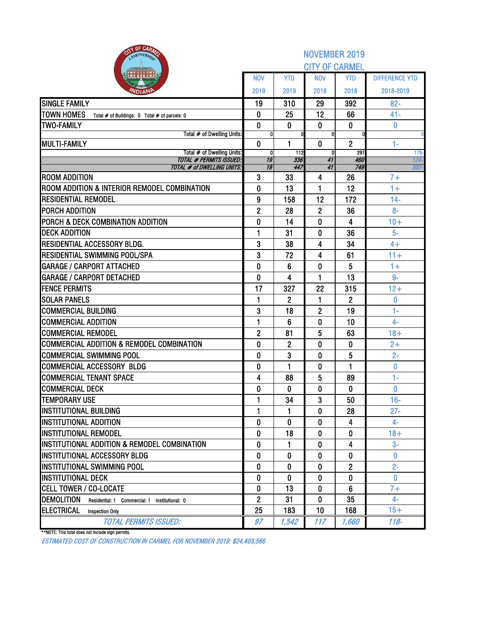| <b>BITY OF CARMS</b><br>PARTNERSH                                  |                   |                | <b>NOVEMBER 2019</b>  |                       |                       |
|--------------------------------------------------------------------|-------------------|----------------|-----------------------|-----------------------|-----------------------|
|                                                                    |                   |                | <b>CITY OF CARMEL</b> |                       |                       |
|                                                                    | <b>NOV</b>        | <b>YTD</b>     | <b>NOV</b>            | YTD                   | <b>DIFFERENCE YTD</b> |
| VDIAN                                                              | 2019              | 2019           | 2018                  | 2018                  | 2018-2019             |
| <b>SINGLE FAMILY</b>                                               | 19                | 310            | 29                    | 392                   | $82 -$                |
| <b>TOWN HOMES</b><br>Total # of Buildings: 0 Total # of parcels: 0 | 0                 | 25             | 12                    | 66                    | $41 -$                |
| <b>TWO-FAMILY</b>                                                  | $\bf{0}$          | 0              | 0                     | $\bf{0}$              | 0                     |
| Total # of Dwelling Units:                                         | 0                 |                | O                     |                       | $\mathbf{0}$          |
| <b>MULTI-FAMILY</b><br>Total # of Dwelling Units:                  | $\mathbf{0}$<br>0 | 1<br>112       | 0<br>$\mathbf{0}$     | $\overline{2}$<br>291 | 1-<br>$179 -$         |
| <b>TOTAL # PERMITS ISSUED:</b>                                     | 19                | 336            | 41                    | 460                   | $124 -$               |
| <b>TOTAL # of DWELLING UNITS:</b>                                  | $\overline{19}$   | 447            | $\overline{41}$       | 749                   | $302 -$               |
| <b>ROOM ADDITION</b>                                               | 3                 | 33             | 4                     | 26                    | $7+$                  |
| ROOM ADDITION & INTERIOR REMODEL COMBINATION                       | $\bf{0}$          | 13             | 1                     | 12                    | $1+$                  |
| <b>RESIDENTIAL REMODEL</b>                                         | 9                 | 158            | 12                    | 172                   | $14 -$                |
| <b>PORCH ADDITION</b>                                              | $\overline{2}$    | 28             | $\overline{2}$        | 36                    | $8-$                  |
| PORCH & DECK COMBINATION ADDITION                                  | $\bf{0}$          | 14             | 0                     | 4                     | $10+$                 |
| <b>DECK ADDITION</b>                                               | 1                 | 31             | 0                     | 36                    | $5-$                  |
| RESIDENTIAL ACCESSORY BLDG.                                        | 3                 | 38             | 4                     | 34                    | $4+$                  |
| RESIDENTIAL SWIMMING POOL/SPA                                      | 3                 | 72             | 4                     | 61                    | $11 +$                |
| <b>GARAGE / CARPORT ATTACHED</b>                                   | $\mathbf{0}$      | 6              | 0                     | 5                     | $1+$                  |
| <b>GARAGE / CARPORT DETACHED</b>                                   | $\mathbf 0$       | 4              | 1                     | 13                    | $9-$                  |
| <b>FENCE PERMITS</b>                                               | 17                | 327            | 22                    | 315                   | $12+$                 |
| <b>SOLAR PANELS</b>                                                | 1                 | $\overline{2}$ | 1                     | $\overline{2}$        | 0<br>$1 -$            |
| <b>COMMERCIAL BUILDING</b><br><b>COMMERCIAL ADDITION</b>           | 3                 | 18<br>6        | $\overline{2}$        | 19<br>10              | $4-$                  |
| <b>COMMERCIAL REMODEL</b>                                          | 1<br>$\mathbf{2}$ | 81             | 0<br>5                | 63                    | $18 +$                |
| <b>COMMERCIAL ADDITION &amp; REMODEL COMBINATION</b>               | $\bf{0}$          | $\overline{2}$ | 0                     | 0                     | $2+$                  |
| <b>COMMERCIAL SWIMMING POOL</b>                                    | $\mathbf{0}$      | 3              | 0                     | 5                     | $2 -$                 |
| <b>COMMERCIAL ACCESSORY BLDG</b>                                   | 0                 | 1              | 0                     | 1                     | 0                     |
| <b>COMMERCIAL TENANT SPACE</b>                                     | 4                 | 88             | 5                     | 89                    | $1 -$                 |
| <b>COMMERCIAL DECK</b>                                             | $\bf{0}$          | 0              | 0                     | 0                     | 0                     |
| <b>TEMPORARY USE</b>                                               | 1                 | 34             | 3                     | 50                    | $16-$                 |
| <b>INSTITUTIONAL BUILDING</b>                                      | 1                 | 1              | 0                     | 28                    | $27 -$                |
| <b>INSTITUTIONAL ADDITION</b>                                      | 0                 | 0              | 0                     | 4                     | 4-                    |
| <b>INSTITUTIONAL REMODEL</b>                                       | 0                 | 18             | 0                     | 0                     | $18 +$                |
| INSTITUTIONAL ADDITION & REMODEL COMBINATION                       | 0                 | 1              | $\bf{0}$              | 4                     | $3-$                  |
| INSTITUTIONAL ACCESSORY BLDG                                       | 0                 | 0              | 0                     | 0                     | $\bf{0}$              |
| INSTITUTIONAL SWIMMING POOL                                        | 0                 | 0              | 0                     | 2                     | $2 -$                 |
| INSTITUTIONAL DECK                                                 | $\bf{0}$          | 0              | 0                     | 0                     | 0                     |
| <b>CELL TOWER / CO-LOCATE</b>                                      | 0                 | 13             | 0                     | 6                     | $7+$                  |
| <b>DEMOLITION</b><br>Residential: 1 Commercial: 1 Institutional: 0 | $\mathbf{2}$      | 31             | 0                     | 35                    | $4-$                  |
| <b>ELECTRICAL</b><br><b>Inspection Only</b>                        | 25                | 183            | 10                    | 168                   | $15+$                 |
| <b>TOTAL PERMITS ISSUED:</b>                                       | 97                | 1,542          | 117                   | 1,660                 | $118 -$               |

\*\*NOTE: This total does not include sign permits.

ESTIMATED COST OF CONSTRUCTION IN CARMEL FOR NOVEMBER 2019: \$24,403,566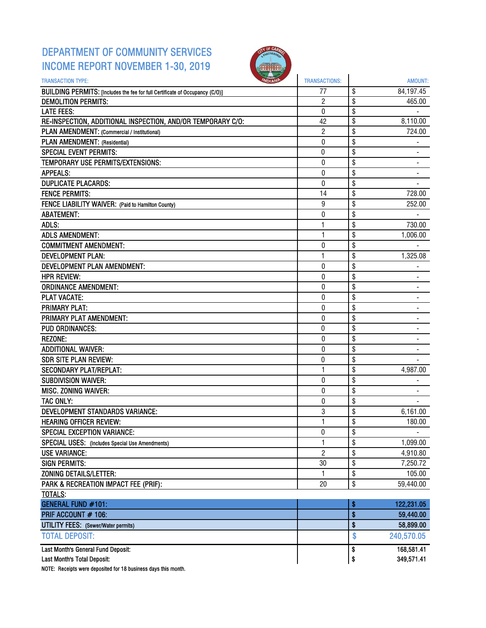## DEPARTMENT OF COMMUNITY SERVICES INCOME REPORT NOVEMBER 1-30, 2019



| <b>TRANSACTION TYPE:</b>                                                     | <b>TRANSACTIONS:</b> |                 | <b>AMOUNT:</b> |
|------------------------------------------------------------------------------|----------------------|-----------------|----------------|
| BUILDING PERMITS: [Includes the fee for full Certificate of Occupancy (C/O)] | 77                   | \$              | 84,197.45      |
| <b>DEMOLITION PERMITS:</b>                                                   | $\overline{c}$       | \$              | 465.00         |
| <b>LATE FEES:</b>                                                            | $\mathbf 0$          | $\overline{\$}$ |                |
| RE-INSPECTION, ADDITIONAL INSPECTION, AND/OR TEMPORARY C/O:                  | 42                   | \$              | 8,110.00       |
| PLAN AMENDMENT: (Commercial / Institutional)                                 | $\overline{c}$       | \$              | 724.00         |
| PLAN AMENDMENT: (Residential)                                                | 0                    | \$              |                |
| <b>SPECIAL EVENT PERMITS:</b>                                                | 0                    | \$              |                |
| TEMPORARY USE PERMITS/EXTENSIONS:                                            | 0                    | \$              |                |
| <b>APPEALS:</b>                                                              | 0                    | \$              |                |
| <b>DUPLICATE PLACARDS:</b>                                                   | 0                    | \$              |                |
| <b>FENCE PERMITS:</b>                                                        | 14                   | \$              | 728.00         |
| FENCE LIABILITY WAIVER: (Paid to Hamilton County)                            | 9                    | \$              | 252.00         |
| <b>ABATEMENT:</b>                                                            | 0                    | \$              |                |
| ADLS:                                                                        | 1                    | \$              | 730.00         |
| <b>ADLS AMENDMENT:</b>                                                       | $\mathbf{1}$         | \$              | 1,006.00       |
| <b>COMMITMENT AMENDMENT:</b>                                                 | 0                    | \$              |                |
| <b>DEVELOPMENT PLAN:</b>                                                     | 1                    | \$              | 1,325.08       |
| DEVELOPMENT PLAN AMENDMENT:                                                  | $\mathbf 0$          | \$              |                |
| <b>HPR REVIEW:</b>                                                           | 0                    | \$              |                |
| <b>ORDINANCE AMENDMENT:</b>                                                  | 0                    | \$              |                |
| <b>PLAT VACATE:</b>                                                          | 0                    | \$              |                |
| <b>PRIMARY PLAT:</b>                                                         | 0                    | \$              | ٠              |
| PRIMARY PLAT AMENDMENT:                                                      | 0                    | \$              |                |
| <b>PUD ORDINANCES:</b>                                                       | 0                    | \$              |                |
| <b>REZONE:</b>                                                               | 0                    | \$              |                |
| <b>ADDITIONAL WAIVER:</b>                                                    | 0                    | \$              |                |
| <b>SDR SITE PLAN REVIEW:</b>                                                 | 0                    | \$              |                |
| <b>SECONDARY PLAT/REPLAT:</b>                                                | 1                    | \$              | 4,987.00       |
| <b>SUBDIVISION WAIVER:</b>                                                   | 0                    | \$              |                |
| MISC. ZONING WAIVER:                                                         | 0                    | \$              |                |
| <b>TAC ONLY:</b>                                                             | 0                    | \$              |                |
| <b>DEVELOPMENT STANDARDS VARIANCE:</b>                                       | 3                    | \$              | 6,161.00       |
| <b>HEARING OFFICER REVIEW:</b>                                               | 1                    | \$              | 180.00         |
| <b>SPECIAL EXCEPTION VARIANCE:</b>                                           | 0                    | \$              | $\blacksquare$ |
| <b>SPECIAL USES:</b> (Includes Special Use Amendments)                       | 1                    | \$              | 1,099.00       |
| <b>USE VARIANCE:</b>                                                         | $\overline{c}$       | \$              | 4,910.80       |
| <b>SIGN PERMITS:</b>                                                         | 30                   | \$              | 7,250.72       |
| <b>ZONING DETAILS/LETTER:</b>                                                | 1.                   | \$              | 105.00         |
| PARK & RECREATION IMPACT FEE (PRIF):                                         | 20                   | \$              | 59,440.00      |
| TOTALS:                                                                      |                      |                 |                |
| <b>GENERAL FUND #101:</b>                                                    |                      | \$              | 122,231.05     |
| PRIF ACCOUNT # 106:                                                          |                      | \$              | 59,440.00      |
| <b>UTILITY FEES:</b> (Sewer/Water permits)                                   |                      | \$              | 58,899.00      |
| <b>TOTAL DEPOSIT:</b>                                                        |                      | \$              | 240,570.05     |
| Last Month's General Fund Deposit:                                           |                      | \$              | 168,581.41     |
| Last Month's Total Deposit:                                                  |                      | \$              | 349,571.41     |

NOTE: Receipts were deposited for 18 business days this month.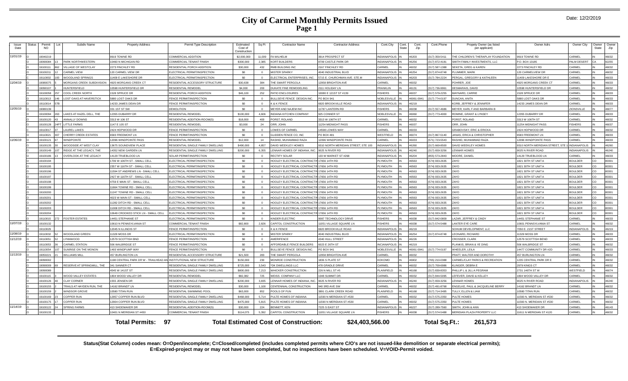#### **City of Carmel Monthly Permits Issued Page 1**

| Issue<br>Date | Status | Permit<br><b>NO</b> |     | Subdiv Name                      | <b>Property Address</b>              | Permit Type Description             | Estimated<br>Cost of<br>Construction | Sq Ft    | <b>Contractor Name</b>                       | <b>Contractor Address</b>          | Cont.City          | Cont<br>State | Cont.<br>Zip | Cont.Phone    | Propety Owner (as listed<br>per applicant) | Owner Adrs                       | Owner City          | Owner<br>State | Owner<br>Zip |
|---------------|--------|---------------------|-----|----------------------------------|--------------------------------------|-------------------------------------|--------------------------------------|----------|----------------------------------------------|------------------------------------|--------------------|---------------|--------------|---------------|--------------------------------------------|----------------------------------|---------------------|----------------|--------------|
| 11/01/19      |        | 19040219            |     |                                  | 9919 TOWNE RD                        | COMMERCIAL ADDITION                 | \$2,000,000                          | 11,009   | A WILHELM                                    | 3914 PROSPECT ST                   | NDIANAPOLIS        |               | 46203        | 317) 359-5411 | THE CHILDREN'S THERAPLAY FOUNDATION        | 9919 TOWNE RD                    | CARMEL              |                | 46032        |
|               |        | 19090084            | 13  | PARK NORTHWESTERN                | 10460 N MICHIGAN RD                  | <b>COMMERCIAL TENANT FINISH</b>     | \$300,000                            | 2.385    | <b>CORT BUILDERS</b>                         | 8709 CASTLE PARK DF                | <b>NDIANAPOLIS</b> |               | 46256        | 317) 872-4181 | SMITH FAMILY INVESTMENTS, LLC              | P.O. BOX 13185                   | PALM DESERT         | CA.            | 92255        |
|               |        | 19100111            | 862 | VILLAGE OF WESTCLAY              | 2273 FINCHLEY RD                     | RESIDENTIAL PORCH ADDITION          | \$30,000                             | 432      | RMB BUILDING INC                             | 167 FINCHI FY RD                   | <b>ARMEL</b>       |               | 46032        | 317) 587-1388 | SEKETA, GREG & KAREN                       | 273 FINCHLEY RD                  | CARMEL              |                | 46032        |
|               |        | 19100211            |     | CARMEL VIEW                      | 120 CARMEL VIEW DR                   | ELECTRICAL PERMIT/INSPECTION        | \$0                                  | $\circ$  | <b>MISTER SPARKY</b>                         | 1040 INDUSTRIAL BLVD               | NDIANAPOLIS        |               | 46254        | 317) 874-8748 | PLUMMER MARK                               | 20 CARMELVIEW DR                 | CARMEL              |                | 46032        |
|               |        | 19110002            |     | WOODLAND SPRINGS                 | 11409 E LAKESHORE DF                 | ELECTRICAL PERMIT/INSPECTION        | \$0                                  | $\Omega$ | LECTRICAL ENTERPRISES, INC.                  | 5715 E. CHURCHMAN AVE. STE.M       | <b>NDIANAPOLIS</b> |               | 46203        | 317) 784-2224 | PERGAL, GREGORY & KATHLEEN                 | 1409 LAKESHORE DR E              | CARMEL              |                | 46033        |
| 11/04/19      |        | 19080075            |     | MORGANS CREEK SUBDIVISION        | 4925 MORGANS CREEK CT                | RESIDENTIAL ACCESSORY STRUCTURE     | \$30,638                             | 384      | THE SMART PERGOLA                            | 2958 BRIGHTON AVE                  | ARMEL              |               | 46032        |               | POHRER JOF                                 | 925 MORGANS CREEK CT             | CARMEL              |                | 46033        |
|               |        | 19090107            |     | HUNTERSFIELD                     | 0598 HUNTERSFIELD DR                 | RESIDENTIAL REMODEL                 | \$4,000                              | 200      | <b>UKATE FINE REMODELING</b>                 | 111 HOLIDAY LN                     | <b>FRANKI IN</b>   |               | 46131        | 317) 736-9961 | <b>DESMARAIS, DAVID</b>                    | 0598 HUNTERSFIELD DR             | CARMEL              |                | 46032        |
|               |        | 19100058            |     | COOL CREEK NORTH                 | 1528 SPRUCE DR                       | RESIDENTIAL PORCH ADDITION          | \$46,100                             | 252      | PATIO ENCLOSURES                             | 0080 E 121ST ST #139               | <b>ISHERS</b>      |               | 46037        | 317) 579-2255 | MAYNARD, CARRIE                            | 528 SPRUCE DF                    | CARMEL              |                | 46033        |
|               |        | 19110013            |     | <b>I OST OAKS AT HAVE RSTICK</b> | 5880 LOST OAKS DR                    | FENCE PERMIT/INSPECTION             | SO <sub>2</sub>                      | $\Omega$ | <b>BULLSEYE FENCE DESIGN INC.</b>            | PO BOX 941                         | <b>VOBLESVILLE</b> |               | 46061-0941   | 317) 774-0197 | DUNCAN, ANITA                              | 880 LOST OAKS DR                 | CARMEL              |                | 46033        |
|               |        | 19110014            |     |                                  | 14233 JAMES DEAN DR                  | FENCE PERMIT/INSPECTION             | \$0                                  | $\Omega$ | & K FENCE                                    | <b>920 BROOKVILLE ROAD</b>         | NDIANAPOLIS        |               | 46219        |               | KORB, JEFFREY & JENNIFER                   | 4233 JAMES DEAN DR               | CARMEL              |                | 46033        |
| 11/05/19      |        | 19080139            |     |                                  | 331 1ST ST SW                        | <b>DEMOLITION</b>                   | \$0                                  | $\Omega$ | MEYER AND NAJEM INC                          | 1787 LANTERN RD                    | <b>ISHERS</b>      |               | 46038        | 317) 557-4686 | MEYER, KARL F AND BARBARA B                |                                  | <b>ZIONSVILLE</b>   |                | 46077        |
|               |        | 19100094            |     | LAKES AT HAZEL DELL. THE         | 12355 DUBARRY DR                     | RESIDENTIAL REMODEL                 | \$100,000                            | 4.606    | <b>INDIANA KITCHEN COMPANY</b>               | 925 CONNER ST                      | <b>NOBLESVILLE</b> |               | 46060        | 317) 773-4000 | ROMINE, GRANT & LYNSEY                     | 2355 DUBARRY DR                  | CARMEL              |                | 46033        |
|               |        | 19100120            |     | ANNALLY DOWNS                    | 3313 W 106 ST                        | RESIDENTIAL ADDITION-ROOM(S)        | \$18,000                             | 400      | ORST, ROLAND                                 | 3313 W 106TH ST                    | CARMEL             |               | 46032        |               | PORST, ROLAND                              | 3313 W 106TH ST                  | CARMEL              |                | 46032        |
|               |        | 19100128            |     | <b>I ITTI F FARMS</b>            | 1147 E 105 ST                        | RESIDENTIAL REMODEL                 | \$3,000                              | 24       | ORR. JOHN                                    | 1254 MIDNIGHT PASS                 | <b>ISHERS</b>      |               | 46037        |               | ORR. JOHN                                  | 1254 MIDNIGHT PASS               | <b>FISHERS</b>      |                | 46037        |
|               |        | 19110017            |     | AUREL LAKES                      | 2424 HOPWOOD DR                      | <b>ENCE PERMIT/INSPECTION</b>       | \$0                                  | $\Omega$ | OWES OF CARMEL                               | 4598 LOWES WAY                     | <b>ARMEL</b>       |               | 46033        |               | <b>GRABOVSKY, ERIC &amp; ERICKA</b>        | 424 HOPWOOD DR                   | CARMEL              |                | 46032        |
|               |        | 19110021            |     | CHERRY CREEK ESTATES             | 6583 FREEMONT LN                     | FENCE PERMIT/INSPECTION             | \$0                                  | $\Omega$ | GLIDDEN FENCE CO, INC                        | PO ROX 481                         | <b>NESTFIELD</b>   |               | 46074        | 317) 867-5140 | JANAS. ERICA & CHRISTOPHER                 | 6583 FREEMONT LN                 | CARMEL              |                | 46033        |
| 11/06/19      |        | 19100121            |     | <b><i>NINDPOINTE</i></b>         | <b>2096 WINDPOINTE PASS</b>          | RESIDENTIAL REMODEL                 | \$12,000                             | 14       | RASHID, MUHAMMAD RAZA                        | 2096 WINDPOINTE PASS               | <b>ARMEL</b>       |               | 46033        | 571) 723-5543 | RASHID, MUHAMMAD RAZA                      | 2096 WINDPOINTE PASS             | CARMEL              |                | 46033        |
|               |        | 19100135            |     | <b>NOODSIDE AT WEST CLAY</b>     | 13675 SOUNDVIEW PLACE                | RESIDENTIAL SINGLE FAMILY DWELLING  | \$490,000                            | 4.857    | <b>AVID WEEKLEY HOMES</b>                    | 310 NORTH MERIDIAN STREET, STE 100 | NDIANAPOLIS        |               | 46260        | 317) 669-8500 | DAVID WEEKLEY HOMES                        | 310 NORTH MERIDIAN STREET, STE 1 | <b>INDIANAPOLIS</b> |                | 46260        |
|               |        | 19100149            |     | RIDGE AT THE LEGACY. THE         | 14352 NFW GARDEN IN                  | RESIDENTIAL SINGLE FAMILY DWELLING  | \$200,000                            | 6,355    | ENNAR HOMES OF INDIANA, INC.                 | 9025 N RIVER RD                    | NDIANAPOLIS        |               | 46240        | 317) 659-3256 | <b>LENNAR HOMES</b>                        | 9025 N RIVER ROAD                | <b>INDIANAPOLIS</b> |                | 46240        |
|               |        | 19100186            |     | OVERLOOK AT THE LEGACY           | 4129 TRUEBLOOD LN                    | SOLAR PERMIT/INSPECTION             | \$0                                  | $\Omega$ | RECTIFY SOLAR                                | 33 W MARKET ST #268                | <b>NDIANAPOLIS</b> |               | 46204        | 855) 573-2843 | MOORE, DANIEL                              | 14129 TRUEBLOOD LN               | CARMEL              |                | 46033        |
|               |        | 19100194            |     |                                  | 1706 W 106TH ST - SMALL CELL         | ELECTRICAL PERMIT/INSPECTION        | \$0                                  | $\Omega$ | HOOLEY ELECTRICAL CONTRACTIN                 | 17656 14TH RD                      | <b>LYMOUTH</b>     |               | 46563        | 574) 933-2635 | ZAYO                                       | 1821 30TH ST UNIT A              | <b>BOULDER</b>      | CO.            | 80301        |
|               |        | 19100195            |     |                                  | 2357 W 116TH ST - SMALL CELL         | ELECTRICAL PERMIT/INSPECTION        | \$0                                  | $\Omega$ | HOOLEY ELECTRICAL CONTRACTI                  | 7656 14TH RD                       | <b>LYMOUTH</b>     |               | 46563        | 574) 933-2635 | <b>ZAYO</b>                                | 821 30TH ST UNIT/                | <b>BOULDER</b>      | CO             | 80301        |
|               |        | 19100196            |     |                                  | 11594 ST ANDREWS LN - SMALL CELI     | ELECTRICAL PERMIT/INSPECTION        | \$0                                  | $\Omega$ | HOOLEY ELECTRICAL CONTRACTI                  | 7656 14TH RD                       | PLYMOUTH           |               | 46563        | 574) 933-2635 | <b>7AYO</b>                                | 821 30TH ST UNIT/                | <b>BOULDER</b>      | CO.            | 80301        |
|               |        | 19100197            |     |                                  | 2427 W 116TH ST - SMALL CELL         | ELECTRICAL PERMIT/INSPECTION        | \$0                                  |          | HOOLEY ELECTRICAL CONTRACTIN                 | 7656 14TH RD                       | <b>LYMOUTH</b>     |               | 46563        | 574) 933-2635 | ZAYO                                       | 821 30TH ST UNIT/                | <b>BOULDER</b>      | CO             | 80301        |
|               |        | 19100198            |     |                                  | 4759 E MAIN ST - SMALL CELL          | ELECTRICAL PERMIT/INSPECTION        | \$0                                  | $\Omega$ | HOOLEY ELECTRICAL CONTRACTI                  | 7656 14TH RD                       | <b>LYMOUTH</b>     |               | 46563        | 574) 933-2635 | ZAYO                                       | 821 30TH ST UNIT A               | <b>BOULDER</b>      | co             | 80301        |
|               |        | 19100199            |     |                                  | 11664 TOWNE RD - SMALL CELL          | LECTRICAL PERMIT/INSPECTION         | \$0                                  |          | <b>JOOLEY ELECTRICAL CONTRACT</b>            | 656 14TH RD                        | <b>LYMOUTH</b>     |               | 46563        | 574) 933-2635 | ZAYO                                       | 821 30TH ST UNIT.                | <b>BOULDER</b>      | CO.            | 80301        |
|               |        | 19100200            |     |                                  | 11247 TOWNE RD - SMALL CELL          | ELECTRICAL PERMIT/INSPECTION        | \$0                                  | $\Omega$ | HOOLEY ELECTRICAL CONTRACTII                 | 7656 14TH RD                       | PLYMOUTH           |               | 46563        | 574) 933-2635 | ZAYO                                       | 821 30TH ST UNIT.                | <b>BOULDER</b>      | CO             | 80301        |
|               |        | 19100201            |     |                                  | 4023 W MAIN ST - SMALL CELL          | FLECTRICAL PERMIT/INSPECTION        | \$0                                  | $\Omega$ | HOOLEY ELECTRICAL CONTRACTIN                 | 17656 14TH RD                      | <b>LYMOUTH</b>     |               | 46563        | 574) 933-2635 | ZAYO                                       | 1821 30TH ST UNIT A              | <b>BOULDER</b>      | CO.            | 80301        |
|               |        | 19100202            |     |                                  | 11282 DITCH RD - SMALL CELL          | LECTRICAL PERMIT/INSPECTION         | SO                                   | $\Omega$ | HOOLEY ELECTRICAL CONTRACTI                  | 7656 14TH RD                       | LYMOUTH            |               | 46563        | 574) 933-2635 | ZAYO                                       | 821 30TH ST UNIT A               | <b>BOULDER</b>      | CO             | 80301        |
|               |        | 19100203            |     |                                  | 11008 DITCH RD - SMALL CELL          | ELECTRICAL PERMIT/INSPECTION        | \$0                                  | $\Omega$ | HOOLEY ELECTRICAL CONTRACTI                  | 7656 14TH RD                       | PLYMOUTH           |               | 46563        | 574) 933-2635 | ZAYO                                       | 1821 30TH ST UNIT/               | <b>BOULDER</b>      | co             | 80301        |
|               |        | 19100204            |     |                                  | 10649 CROOKED STICK LN - SMALL CELL  | ELECTRICAL PERMIT/INSPECTION        | \$0                                  | $\Omega$ | HOOLEY ELECTRICAL CONTRACTIN                 | <b>7656 14TH RD</b>                | <b>LYMOUTH</b>     |               | 46563        | 574) 933-2635 | <b>7AYO</b>                                | 821 30TH ST UNIT A               | <b>BOULDER</b>      | CO.            | 80301        |
|               |        | 19110015            | 272 | <b>FOSTER ESTATES</b>            | 14451 STEPHANIE ST                   | <b>I ECTRICAL PERMIT/INSPECTION</b> | \$0                                  | $\Omega$ | KINDER EI FCTRIC                             | 087 TECHNOLOGY DRIVE               | <b>ISHERS</b>      |               | 46038        | 317) 842-0809 | LAZAR, JEFFREY & CINDY                     | 4451 STEPHANIE ST                | CARMEL              |                | 46033        |
| 11/07/19      |        | 19100132            |     |                                  | 10610 N PENNSYLVANIA ST              | COMMERCIAL TENANT FINISH            | \$82,800                             | 2.826    | CAPITOL CONSTRUCTION                         | 1051 VILLAGE SQUARE LN             | <b>ISHERS</b>      |               | 46038        | 317) 574-5488 | ANTER EYE CARE                             | 0601 PENNSYLVANIA ST             | CARMEL              |                | 46032        |
|               |        | 19110029            |     |                                  | 12045 N ILLINOIS ST                  | FENCE PERMIT/INSPECTION             | \$0                                  | $\Omega$ | & K FENCE                                    | 920 BROOKVILLE ROAD                | NDIANAPOLIS        |               | 46219        |               | SOHUM DEVELOPMENT. LLC                     | 7050 E. 21ST STREET              | <b>INDIANAPOLI</b>  |                | 46219        |
| 11/08/19      |        | 19110032            | 52  | WOODLAND GREEN                   | 11329 MOSS DR                        | ELECTRICAL PERMIT/INSPECTION        | \$0                                  | $\Omega$ | <b>MISTER SPARKY</b>                         | 040 INDUSTRIAL BLVD                | NDIANAPOLIS IN     |               | 46254        | 317) 874-8748 | LEONARD, RICHARD                           | 11329 MOSS DR                    | CARMEL              |                | 46033        |
| 11/12/19      |        | 19110051            |     | <b>YNNWOOD</b>                   | 12579 SCOTTISH BND                   | <b>ENCE PERMIT/INSPECTION</b>       | \$0                                  | $\Omega$ | AMERIFENCE                                   | <b>1340 HULL STREE</b>             | <b>NDIANAPOLIS</b> |               | 46226        |               | CROSSER, CLARK                             | 2579 SCOTTISH BEND               | CARMEL              |                | 46033        |
|               |        | 19110053            |     | CARMEL STATION                   | 506 WALBRIDGE ST                     | <b>ENCE PERMIT/INSPECTION</b>       | \$0                                  | $\Omega$ | <b>IFFORDABLE FENCE BUILDERS</b>             | 6023 E 26TH ST                     | NCIANAPOLIS        |               | 46219        |               | PLANKIS, BRIAN & YE DING                   | 506 WALBRIDGE ST                 | CARMEL              |                | 46032        |
|               |        | 19110054            |     | SUNRISE ON THE MONON             | 1493 WINDPUMP WAY                    | <b>ENCE PERMIT/INSPECTION</b>       | \$0                                  | $\Omega$ | BULLSEYE FENCE DESIGN INC.                   | O BOX 941                          | <b>NOBLESVILLE</b> |               | 46061-0941   | 317) 774-0197 | WHEELER, LEILA                             | 14477 COMMUNITY DR #2D           | CARMEL              |                | 46033        |
| 11/13/19      |        | 19050221            |     | WILLIAMS MILL                    | 457 BURI INGTON I N                  | RESIDENTIAL ACCESSORY STRUCTURE     | \$21,500                             | 283      | THE SMART PERGOLA                            | 2958 BRIGHTON AVE                  | <b>ARMEL</b>       |               | 46032        |               | PRATT. WALTER AND DOROTHY                  | <b>457 BURLINGTON LN</b>         | CARMEL              |                | 46032        |
|               |        | 9090002             |     |                                  | 198 CENTRAL PARK DR W - TRAILHEAD AN | <b>INSTITUTIONAL NEW STRUCTURE</b>  | \$150,000                            | 230      | <b>JONROE CONSTRUCTION</b>                   | 836 S PLATE ST                     | <b>OKOMO</b>       |               | 16902        | 765) 210-0388 | CARMEL/CLAY PARKS & RECREATION             | 235 CENTRAL PARK DR E            | CARMEL              |                | 46032        |
|               |        | 19090009            |     | RESERVE AT SPRINGMILL. THE       | 341 SANNER CT                        | RESIDENTIAL SINGLE FAMILY DWELLING  | \$725,000                            | 3.543    | *DK DWELLINGS LLC                            | 478 GRADLE DRIVI                   | ARMFI              |               | 46032        | 317) 709-6986 | KI INGER DERRAF                            | 2979 KINGS CT                    | CARMEL              |                | 46032        |
|               |        | 19090089            |     |                                  | 4545 W 141ST ST                      | RESIDENTIAL SINGLE FAMILY DWELLING  | \$800,000                            | 7,213    | <b>VHICKER CONSTRUCTION</b>                  | 226 N MILL ST #5                   | <b>LAINFIELD</b>   |               | 46168        | 317) 839-8353 | PHILLIP L & JILL A PEGRAM                  | 2731 146TH ST W                  | WESTFIELD           |                | 46074        |
|               |        | 19100115            |     | WOOD VALLEY ESTATES              | <b>804 WOOD VALLEY DR</b>            | RESIDENTIAL REMODEL                 | \$82,382                             | 725      | <b>VEISS COMPANY LLC</b>                     | 048 SUMMIT DR                      | ARMEL              |               | 46032        | 317) 844-5095 | LEFEVER, DAVID & KELLEY                    | 804 WOOD VALLEY DR               | CARME               |                | 46032        |
|               |        | 19100126            |     | <b>CLAY CORNER</b>               | 555 JENSEN DR                        | RESIDENTIAL SINGLE FAMILY DWELLING  | \$200,000                            | 3,835    | ENNAR HOMES OF INDIANA, INC                  | 9025 N RIVER RD                    | NDIANAPOL          |               | 46240        | 317) 659-3256 | <b>FNNAR HOMES</b>                         | 025 N RIVER ROAD                 | INDIANAPOLI         |                | 46240        |
|               |        | 19100155            |     | TRAILS AT HAYDEN RUN. THE        | 14162 BRANDT LN                      | RESIDENTIAL REMODEL                 | \$30,000                             | 1.100    | <b>CENTENNIAL CONSTRUCTION</b>               | 940 3RD AVE SW                     | CARMEL             |               | 46032        | 317) 491-8768 | ENGELKE, PAUL & JACQUELINE BERRY           | 4162 BRANDT LN                   | CARMEL              |                | 46032        |
|               |        | 19100159            |     | WINDSOR GROVE                    | 0580 TITAN RUN                       | RESIDENTIAL SWIMMING POOL           | \$63,000                             | 852      | POOLS OF FUN                                 | 891 CLARK CREEK ROAD               | <b>LAINFIELD</b>   |               | 46168        | 317) 714-3495 | TULLY, ELLEN & LIAM                        | 0580 TITAN RUN                   | CARME               |                | 46032        |
|               |        | 9100169             |     | COPPER RUN                       | 12957 COPPER RUN BLVD                | RESIDENTIAL SINGLE FAMILY DWELLING  | \$468,000                            | 5.714    | ULTE HOMES OF INDIANA                        | 1590 N MERIDIAN ST #530            | ARMFI              |               | 46032        | 317) 575-2350 | PULTE HOMES                                | 1590 N. MERIDIAN ST #530         | CARMEI              |                | 46032        |
|               |        | 19100175            |     | COPPER RUN                       | 12904 COPPER RUN BLVD                | RESIDENTIAL SINGLE FAMILY DWELLING  | \$475,000                            | 5.815    | ULTE HOMES OF INDIANA                        | 1590 N MERIDIAN ST #530            | <b>ARMEL</b>       |               | 46032        | 317) 575-2350 | PULTE HOMES                                | 1590 N. MERIDIAN ST #530         | CARMEL              |                | 46032        |
| 11/14/19      |        | 19100122            |     | <b>SPRING FARMS</b>              | <b>413 SHOEMAKER DR</b>              | RESIDENTIAL ADDITION-ROOM(S)        | \$30,000                             | 224      | ENNETT, KEN                                  | 225 S EAST ST                      | NDIANAPOL          |               | 46227        | 317) 289-7560 | SMITH, JOHN & ANN                          | 13 SHOFMAKER DR                  | CARMEL              |                | 46143        |
|               |        | 19100133            |     |                                  | 10401 N MERIDIAN ST #450             | COMMERCIAL TENANT FINISH            | \$114.075                            | 5.392    | CAPITOL CONSTRUCTION                         | 1051 VILLAGE SQUARE LN             | SHERS              |               | 46038        | 317) 574-5488 | MERIDIAN PLAZA PROPERTY LLC                | 11611 N MERIDIAN ST #120         | CARMEL              |                | 46032        |
|               |        |                     |     |                                  | <b>Total Permits: 97</b>             |                                     |                                      |          | <b>Total Estimated Cost of Construction:</b> | \$24,403,566.00                    |                    |               |              | Total Sq.Ft.: | 261.573                                    |                                  |                     |                |              |

**Status(Stat Column) codes mean: O=Open/incomplete; C=Closed/completed (includes completed permits where C/O's are not issued-like demolition or separate electrical permits); E=Expired-project may or may not have been completed, but no inspections have been scheduled. V=VOID-Permit voided.**